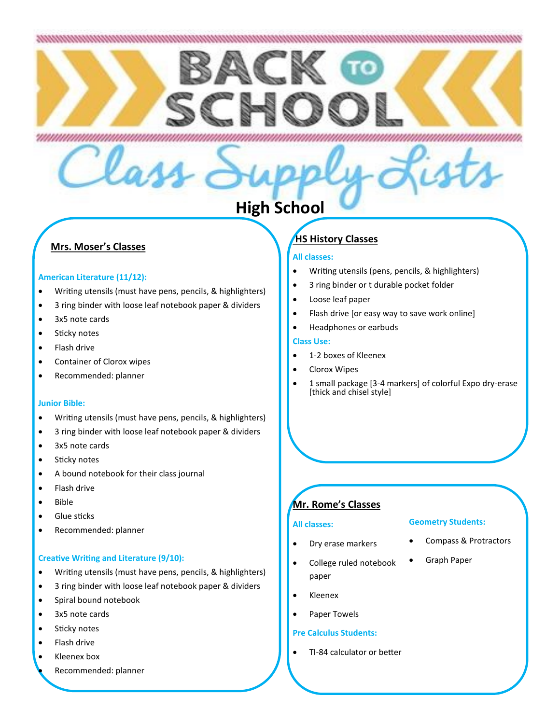# 

# **High School**

## **Mrs. Moser's Classes**

## **American Literature (11/12):**

Writing utensils (must have pens, pencils, & highlighters)

- 3 ring binder with loose leaf notebook paper & dividers
- 3x5 note cards
- **•** Sticky notes
- Flash drive
- Container of Clorox wipes
- Recommended: planner

#### **Junior Bible:**

- Writing utensils (must have pens, pencils, & highlighters)
- 3 ring binder with loose leaf notebook paper & dividers
- 3x5 note cards
- Sticky notes
- A bound notebook for their class journal
- Flash drive
- Bible
- **•** Glue sticks
- Recommended: planner

#### **Creative Writing and Literature (9/10):**

- Writing utensils (must have pens, pencils, & highlighters)
- 3 ring binder with loose leaf notebook paper & dividers
- Spiral bound notebook
- 3x5 note cards
- **•** Sticky notes
- Flash drive
- Kleenex box
	- Recommended: planner

# **HS History Classes**

## **All classes:**

Writing utensils (pens, pencils, & highlighters)

- 3 ring binder or t durable pocket folder
- Loose leaf paper
- Flash drive [or easy way to save work online]
- Headphones or earbuds

## **Class Use:**

- 1-2 boxes of Kleenex
- Clorox Wipes
- 1 small package [3-4 markers] of colorful Expo dry-erase [thick and chisel style]

# **Mr. Rome's Classes**

#### **All classes:**

#### **Geometry Students:**

- Dry erase markers
- College ruled notebook paper
- Kleenex
- Paper Towels

#### **Pre Calculus Students:**

• TI-84 calculator or better

- Compass & Protractors
- Graph Paper
-